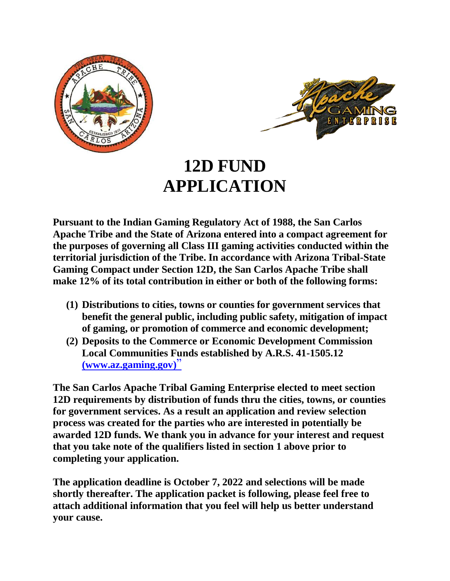



# **12D FUND APPLICATION**

**Pursuant to the Indian Gaming Regulatory Act of 1988, the San Carlos Apache Tribe and the State of Arizona entered into a compact agreement for the purposes of governing all Class III gaming activities conducted within the territorial jurisdiction of the Tribe. In accordance with Arizona Tribal-State Gaming Compact under Section 12D, the San Carlos Apache Tribe shall make 12% of its total contribution in either or both of the following forms:**

- **(1) Distributions to cities, towns or counties for government services that benefit the general public, including public safety, mitigation of impact of gaming, or promotion of commerce and economic development;**
- **(2) Deposits to the Commerce or Economic Development Commission Local Communities Funds established by A.R.S. 41-1505.12 [\(www.az.gaming.gov\)](http://www.az.gaming.gov/)**"

**The San Carlos Apache Tribal Gaming Enterprise elected to meet section 12D requirements by distribution of funds thru the cities, towns, or counties for government services. As a result an application and review selection process was created for the parties who are interested in potentially be awarded 12D funds. We thank you in advance for your interest and request that you take note of the qualifiers listed in section 1 above prior to completing your application.**

**The application deadline is October 7, 2022 and selections will be made shortly thereafter. The application packet is following, please feel free to attach additional information that you feel will help us better understand your cause.**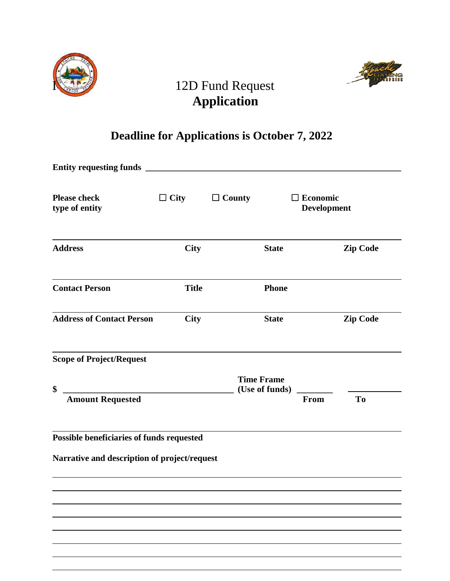



## 12D Fund Request **Application**

### **Deadline for Applications is October 7, 2022**

| <b>Please check</b><br>type of entity        | $\Box$ City  | $\Box$ County                       | <b>Economic</b><br><b>Development</b> |                 |
|----------------------------------------------|--------------|-------------------------------------|---------------------------------------|-----------------|
| <b>Address</b>                               | <b>City</b>  | <b>State</b>                        |                                       | <b>Zip Code</b> |
| <b>Contact Person</b>                        | <b>Title</b> | <b>Phone</b>                        |                                       |                 |
| <b>Address of Contact Person</b>             | <b>City</b>  | <b>State</b>                        |                                       | <b>Zip Code</b> |
| <b>Scope of Project/Request</b>              |              |                                     |                                       |                 |
| \$                                           |              | <b>Time Frame</b><br>(Use of funds) |                                       |                 |
| <b>Amount Requested</b>                      |              |                                     | From                                  | T <sub>o</sub>  |
| Possible beneficiaries of funds requested    |              |                                     |                                       |                 |
| Narrative and description of project/request |              |                                     |                                       |                 |
|                                              |              |                                     |                                       |                 |
|                                              |              |                                     |                                       |                 |
|                                              |              |                                     |                                       |                 |
|                                              |              |                                     |                                       |                 |